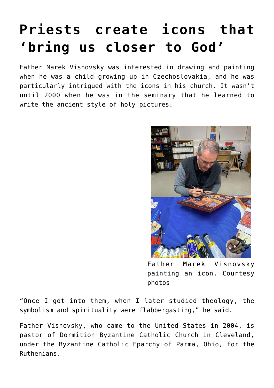## **[Priests create icons that](https://www.osvnews.com/2022/04/04/priests-create-icons-that-bring-us-closer-to-god/) ['bring us closer to God'](https://www.osvnews.com/2022/04/04/priests-create-icons-that-bring-us-closer-to-god/)**

Father Marek Visnovsky was interested in drawing and painting when he was a child growing up in Czechoslovakia, and he was particularly intrigued with the icons in his church. It wasn't until 2000 when he was in the seminary that he learned to write the ancient style of holy pictures.



Father Marek Visnovsky painting an icon. Courtesy photos

"Once I got into them, when I later studied theology, the symbolism and spirituality were flabbergasting," he said.

Father Visnovsky, who came to the United States in 2004, is pastor of Dormition Byzantine Catholic Church in Cleveland, under the Byzantine Catholic Eparchy of Parma, Ohio, for the Ruthenians.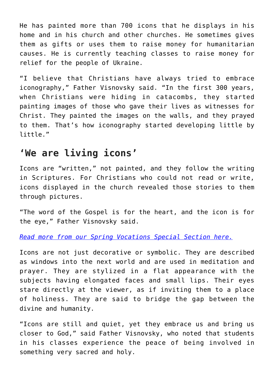He has painted more than 700 icons that he displays in his home and in his church and other churches. He sometimes gives them as gifts or uses them to raise money for humanitarian causes. He is currently teaching classes to raise money for relief for the people of Ukraine.

"I believe that Christians have always tried to embrace iconography," Father Visnovsky said. "In the first 300 years, when Christians were hiding in catacombs, they started painting images of those who gave their lives as witnesses for Christ. They painted the images on the walls, and they prayed to them. That's how iconography started developing little by little."

## **'We are living icons'**

Icons are "written," not painted, and they follow the writing in Scriptures. For Christians who could not read or write, icons displayed in the church revealed those stories to them through pictures.

"The word of the Gospel is for the heart, and the icon is for the eye," Father Visnovsky said.

*[Read more from our Spring Vocations Special Section here.](https://www.osvnews.com/tag/spring-vocations-2022/)*

Icons are not just decorative or symbolic. They are described as windows into the next world and are used in meditation and prayer. They are stylized in a flat appearance with the subjects having elongated faces and small lips. Their eyes stare directly at the viewer, as if inviting them to a place of holiness. They are said to bridge the gap between the divine and humanity.

"Icons are still and quiet, yet they embrace us and bring us closer to God," said Father Visnovsky, who noted that students in his classes experience the peace of being involved in something very sacred and holy.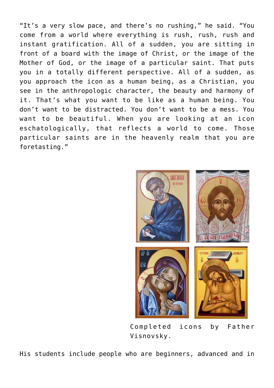"It's a very slow pace, and there's no rushing," he said. "You come from a world where everything is rush, rush, rush and instant gratification. All of a sudden, you are sitting in front of a board with the image of Christ, or the image of the Mother of God, or the image of a particular saint. That puts you in a totally different perspective. All of a sudden, as you approach the icon as a human being, as a Christian, you see in the anthropologic character, the beauty and harmony of it. That's what you want to be like as a human being. You don't want to be distracted. You don't want to be a mess. You want to be beautiful. When you are looking at an icon eschatologically, that reflects a world to come. Those particular saints are in the heavenly realm that you are foretasting."



Completed icons by Father Visnovsky.

His students include people who are beginners, advanced and in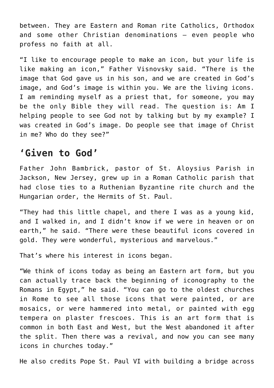between. They are Eastern and Roman rite Catholics, Orthodox and some other Christian denominations — even people who profess no faith at all.

"I like to encourage people to make an icon, but your life is like making an icon," Father Visnovsky said. "There is the image that God gave us in his son, and we are created in God's image, and God's image is within you. We are the living icons. I am reminding myself as a priest that, for someone, you may be the only Bible they will read. The question is: Am I helping people to see God not by talking but by my example? I was created in God's image. Do people see that image of Christ in me? Who do they see?"

## **'Given to God'**

Father John Bambrick, pastor of St. Aloysius Parish in Jackson, New Jersey, grew up in a Roman Catholic parish that had close ties to a Ruthenian Byzantine rite church and the Hungarian order, the Hermits of St. Paul.

"They had this little chapel, and there I was as a young kid, and I walked in, and I didn't know if we were in heaven or on earth," he said. "There were these beautiful icons covered in gold. They were wonderful, mysterious and marvelous."

That's where his interest in icons began.

"We think of icons today as being an Eastern art form, but you can actually trace back the beginning of iconography to the Romans in Egypt," he said. "You can go to the oldest churches in Rome to see all those icons that were painted, or are mosaics, or were hammered into metal, or painted with egg tempera on plaster frescoes. This is an art form that is common in both East and West, but the West abandoned it after the split. Then there was a revival, and now you can see many icons in churches today."

He also credits Pope St. Paul VI with building a bridge across